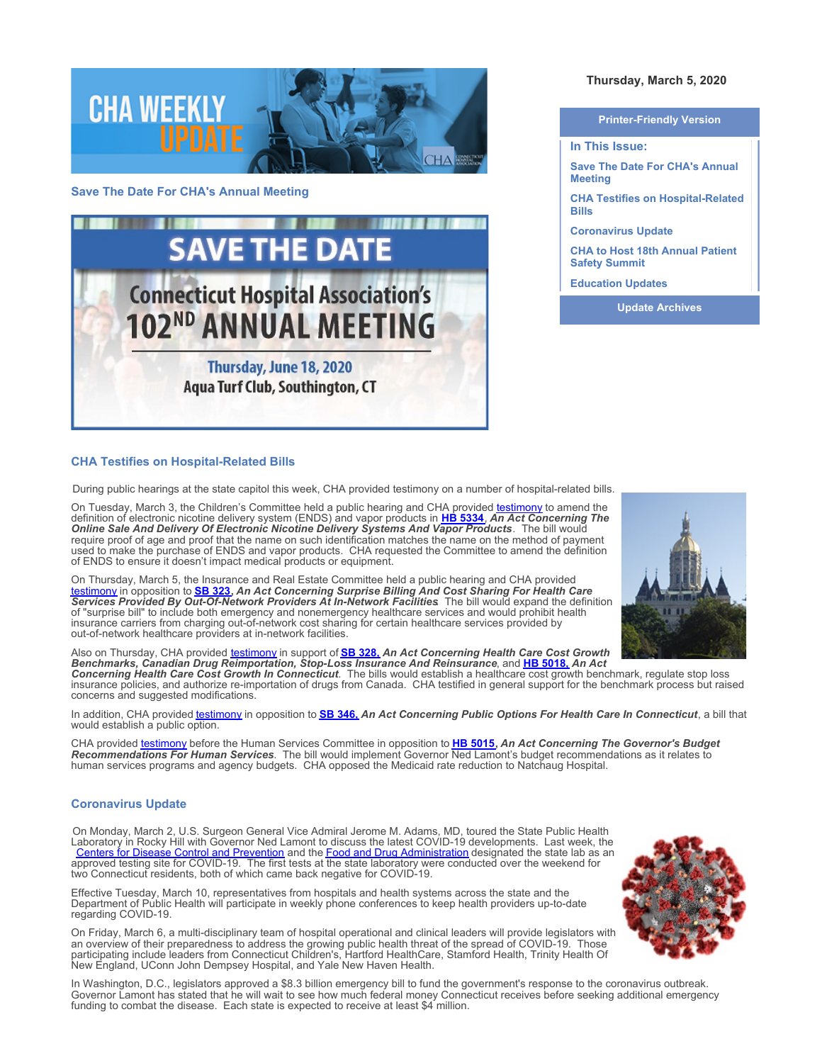

## **Save The Date For CHA's Annual Meeting**



# **CHA Testifies on Hospital-Related Bills**

During public hearings at the state capitol this week, CHA provided testimony on a number of hospital-related bills.

On Tuesday, March 3, the Children's Committee held a public hearing and CHA provided [testimony](https://www.cthosp.org/CHA/assets/File/advocacy/testimony/2020/FINAL%20HB%205334,%20AAC%20The%20Online%20Sale%20And%20Delivery%20Of%20Electronic%20Nicotine%20Delivery%20Systems%20And%20Vapor%20Products.pdf) to amend the definition of electronic nicotine delivery system (ENDS) and vapor products in **[HB 5334](https://www.cga.ct.gov/asp/cgabillstatus/cgabillstatus.asp?selBillType=Bill&which_year=2020&bill_num=5334)**, *An Act Concerning The Online Sale And Delivery Of Electronic Nicotine Delivery Systems And Vapor Products*. The bill would require proof of age and proof that the name on such identification matches the name on the method of payment used to make the purchase of ENDS and vapor products. CHA requested the Committee to amend the definition of ENDS to ensure it doesn't impact medical products or equipment.

On Thursday, March 5, the Insurance and Real Estate Committee held a public hearing and CHA provided <u>[testimony](https://www.cthosp.org/CHA/assets/File/advocacy/testimony/2020/FINAL%20SB%20323,%20AAC%20Surprise%20Billing%20And%20Cost%20Sharing%20For%20Health%20Care....pdf)</u> in opposition to <u>[SB 323](https://www.cga.ct.gov/asp/cgabillstatus/cgabillstatus.asp?selBillType=Bill&which_year=2020&bill_num=323)</u>, An Act Concerning Surprise Billing And Cost Sharing For Health Care<br>Services Provided By Out-Of-Network Providers At In-Network Facilities. The bill would expand the definition of "surprise bill" to include both emergency and nonemergency healthcare services and would prohibit health insurance carriers from charging out-of-network cost sharing for certain healthcare services provided by out-of-network healthcare providers at in-network facilities.

Also on Thursday, CHA provided [testimony](https://www.cthosp.org/CHA/assets/File/advocacy/testimony/2020/FINAL%20HB%205018%20and%20SB%20328%20AAC%20Health%20Care%20Cost%20Growth...pdf) in support of **[SB 328,](https://www.cga.ct.gov/asp/cgabillstatus/cgabillstatus.asp?selBillType=Bill&which_year=2020&bill_num=328)** *An Act Concerning Health Care Cost Growth Benchmarks, Canadian Drug Reimportation, Stop-Loss Insurance And Reinsurance*, and **[HB 5018,](https://www.cga.ct.gov/asp/cgabillstatus/cgabillstatus.asp?selBillType=Bill&which_year=2020&bill_num=5018)** *An Act Concerning Health Care Cost Growth In Connecticut*. The bills would establish a healthcare cost growth benchmark, regulate stop loss insurance policies, and authorize re-importation of drugs from Canada. CHA testified in general support for the benchmark process but raised concerns and suggested modifications.

In addition, CHA provided [testimony](https://www.cthosp.org/CHA/assets/File/advocacy/testimony/2020/FINAL%20SB%20346,%20AAC%20Public%20Options%20For%20Health%20Care%20In%20Connecticut.pdf) in opposition to **[SB 346,](https://www.cga.ct.gov/asp/cgabillstatus/cgabillstatus.asp?selBillType=Bill&which_year=2020&bill_num=346)** *An Act Concerning Public Options For Health Care In Connecticut*, a bill that would establish a public option.

CHA provided [testimony](https://www.cthosp.org/CHA/assets/File/advocacy/testimony/2020/FINAL%20HB%205015,%20AAC%20The%20Governor) before the Human Services Committee in opposition to **[HB 5015](https://www.cga.ct.gov/asp/cgabillstatus/cgabillstatus.asp?selBillType=Bill&which_year=2020&bill_num=5015),** *An Act Concerning The Governor's Budget Recommendations For Human Services*. The bill would implement Governor Ned Lamont's budget recommendations as it relates to human services programs and agency budgets. CHA opposed the Medicaid rate reduction to Natchaug Hospital.

### **Coronavirus Update**

On Monday, March 2, U.S. Surgeon General Vice Admiral Jerome M. Adams, MD, toured the State Public Health Laboratory in Rocky Hill with Governor Ned Lamont to discuss the latest COVID-19 developments. Last week, the [Centers for Disease Control and Prevention](https://www.cdc.gov/coronavirus/2019-ncov/index.html) and the <u>Food and Drug Administration</u> designated the state lab as an approved testing site for COVID-19. The first tests at the state laboratory were conducted over the weekend for two Connecticut residents, both of which came back negative for COVID-19.

Effective Tuesday, March 10, representatives from hospitals and health systems across the state and the Department of Public Health will participate in weekly phone conferences to keep health providers up-to-date regarding COVID-19.

On Friday, March 6, a multi-disciplinary team of hospital operational and clinical leaders will provide legislators with an overview of their preparedness to address the growing public health threat of the spread of COVID-19. Those participating include leaders from Connecticut Children's, Hartford HealthCare, Stamford Health, Trinity Health Of New England, UConn John Dempsey Hospital, and Yale New Haven Health.

In Washington, D.C., legislators approved a \$8.3 billion emergency bill to fund the government's response to the coronavirus outbreak. Governor Lamont has stated that he will wait to see how much federal money Connecticut receives before seeking additional emergency funding to combat the disease. Each state is expected to receive at least \$4 million.

# **Thursday, March 5, 2020**

**Printer-Friendly Version**

**In This Issue:**

**Save The Date For CHA's Annual Meeting**

**CHA Testifies on Hospital-Related Bills**

**Coronavirus Update** 

**CHA to Host 18th Annual Patient Safety Summit** 

**Education Updates** 

**Update Archives**



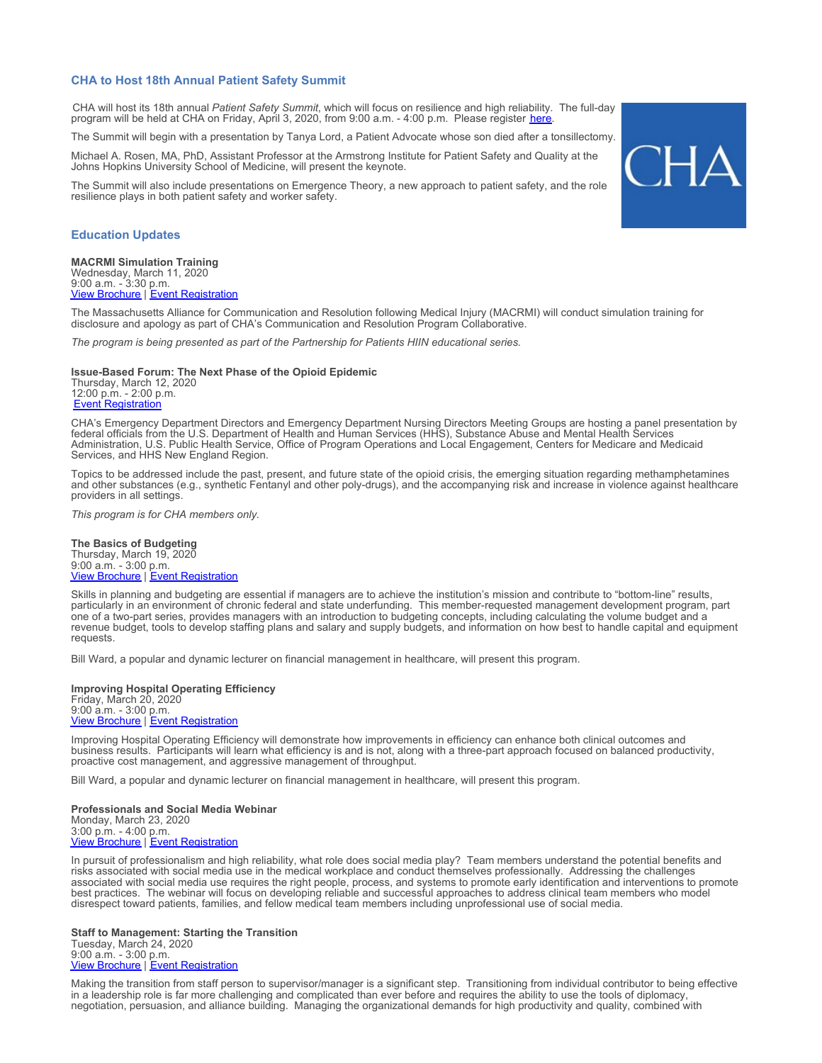#### **CHA to Host 18th Annual Patient Safety Summit**

CHA will host its 18th annual *Patient Safety Summit*, which will focus on resilience and high reliability. The full-day program will be held at CHA on Friday, April 3, 2020, from 9:00 a.m. - 4:00 p.m. Please register *[here](https://cthosp.org/eventcalendar/index.cfm?action=register&date=43924&id=853)*.

The Summit will begin with a presentation by Tanya Lord, a Patient Advocate whose son died after a tonsillectomy.

Michael A. Rosen, MA, PhD, Assistant Professor at the Armstrong Institute for Patient Safety and Quality at the Johns Hopkins University School of Medicine, will present the keynote.

The Summit will also include presentations on Emergence Theory, a new approach to patient safety, and the role resilience plays in both patient safety and worker safety.

## **Education Updates**

**MACRMI Simulation Training** Wednesday, March 11, 2020 9:00 a.m. - 3:30 p.m. [View Brochure](https://cthosp.org/eventcalendar/uploads/HIIN%20MACRMI%20Brochure%20March2020.pdf) | [Event Registration](https://cthosp.org/eventcalendar/index.cfm?action=register&date=43901&id=850)

The Massachusetts Alliance for Communication and Resolution following Medical Injury (MACRMI) will conduct simulation training for disclosure and apology as part of CHA's Communication and Resolution Program Collaborative.

*The program is being presented as part of the Partnership for Patients HIIN educational series.*

#### **Issue-Based Forum: The Next Phase of the Opioid Epidemic**

Thursday, March 12, 2020 12:00 p.m. - 2:00 p.m. [Event Registration](https://cthosp.org/eventcalendar/index.cfm?action=register&date=43902&id=870)

CHA's Emergency Department Directors and Emergency Department Nursing Directors Meeting Groups are hosting a panel presentation by federal officials from the U.S. Department of Health and Human Services (HHS), Substance Abuse and Mental Health Services Administration, U.S. Public Health Service, Office of Program Operations and Local Engagement, Centers for Medicare and Medicaid Services, and HHS New England Region.

Topics to be addressed include the past, present, and future state of the opioid crisis, the emerging situation regarding methamphetamines and other substances (e.g., synthetic Fentanyl and other poly-drugs), and the accompanying risk and increase in violence against healthcare providers in all settings.

*This program is for CHA members only.*

**The Basics of Budgeting** Thursday, March 19, 2020 9:00 a.m. - 3:00 p.m. **[View Brochure](https://cthosp.org/eventcalendar/uploads/Budgeting%20p1_Brochure.pdf) | [Event Registration](https://cthosp.org/eventcalendar/index.cfm?action=register&date=43909&id=859)** 

Skills in planning and budgeting are essential if managers are to achieve the institution's mission and contribute to "bottom-line" results, particularly in an environment of chronic federal and state underfunding. This member-requested management development program, part one of a two-part series, provides managers with an introduction to budgeting concepts, including calculating the volume budget and a revenue budget, tools to develop staffing plans and salary and supply budgets, and information on how best to handle capital and equipment requests.

Bill Ward, a popular and dynamic lecturer on financial management in healthcare, will present this program.

**Improving Hospital Operating Efficiency** Friday, March 20, 2020 9:00 a.m. - 3:00 p.m. [View Brochure](https://cthosp.org/eventcalendar/uploads/Imp%20Hosp%20Eff_Brochure.pdf) | [Event Registration](https://cthosp.org/eventcalendar/index.cfm?action=register&date=43910&id=860)

Improving Hospital Operating Efficiency will demonstrate how improvements in efficiency can enhance both clinical outcomes and business results. Participants will learn what efficiency is and is not, along with a three-part approach focused on balanced productivity, proactive cost management, and aggressive management of throughput.

Bill Ward, a popular and dynamic lecturer on financial management in healthcare, will present this program.

**Professionals and Social Media Webinar** Monday, March 23, 2020 3:00 p.m. - 4:00 p.m. [View Brochure](https://cthosp.org/eventcalendar/uploads/Professionals%20and%20Social%20Media%20Webinar%20Brochure.pdf) | [Event Registration](https://cthosp.org/eventcalendar/index.cfm?action=register&date=43913&id=869)

In pursuit of professionalism and high reliability, what role does social media play? Team members understand the potential benefits and risks associated with social media use in the medical workplace and conduct themselves professionally. Addressing the challenges associated with social media use requires the right people, process, and systems to promote early identification and interventions to promote best practices. The webinar will focus on developing reliable and successful approaches to address clinical team members who model disrespect toward patients, families, and fellow medical team members including unprofessional use of social media.

**Staff to Management: Starting the Transition** Tuesday, March 24, 2020 9:00 a.m. - 3:00 p.m. **[View Brochure](https://cthosp.org/eventcalendar/uploads/Staff%20to%20Mgmt%201_Brochure.pdf) | [Event Registration](https://cthosp.org/eventcalendar/index.cfm?action=register&date=43914&id=861)** 

Making the transition from staff person to supervisor/manager is a significant step. Transitioning from individual contributor to being effective in a leadership role is far more challenging and complicated than ever before and requires the ability to use the tools of diplomacy, negotiation, persuasion, and alliance building. Managing the organizational demands for high productivity and quality, combined with